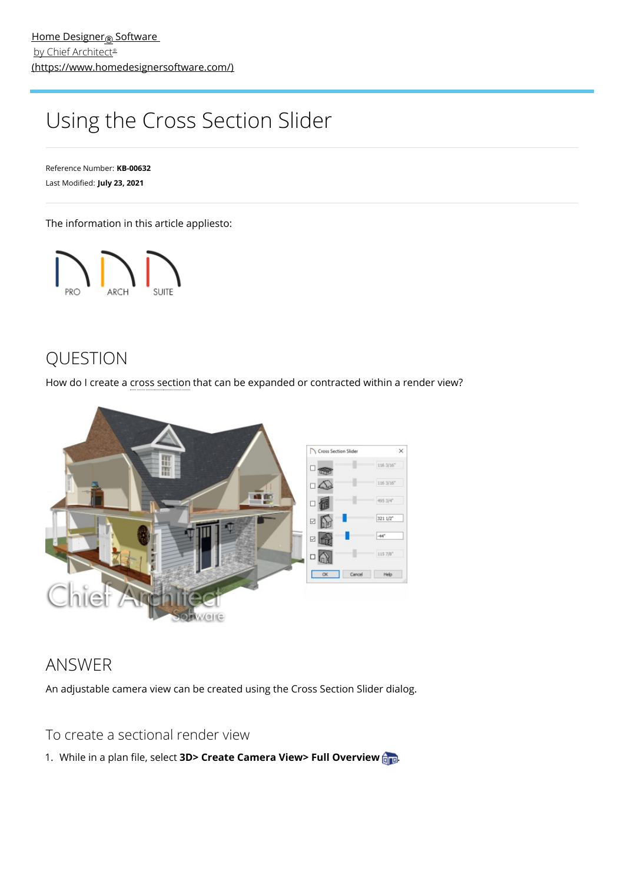## Using the Cross Section Slider

Reference Number: **KB-00632** Last Modified: **July 23, 2021**

The information in this article appliesto:



## QUESTION

How do I create a cross section that can be expanded or contracted within a render view?



## ANSWER

An adjustable camera view can be created using the Cross Section Slider dialog.

To create a sectional render view

1. While in a plan file, select **3D> Create Camera View> Full Overview**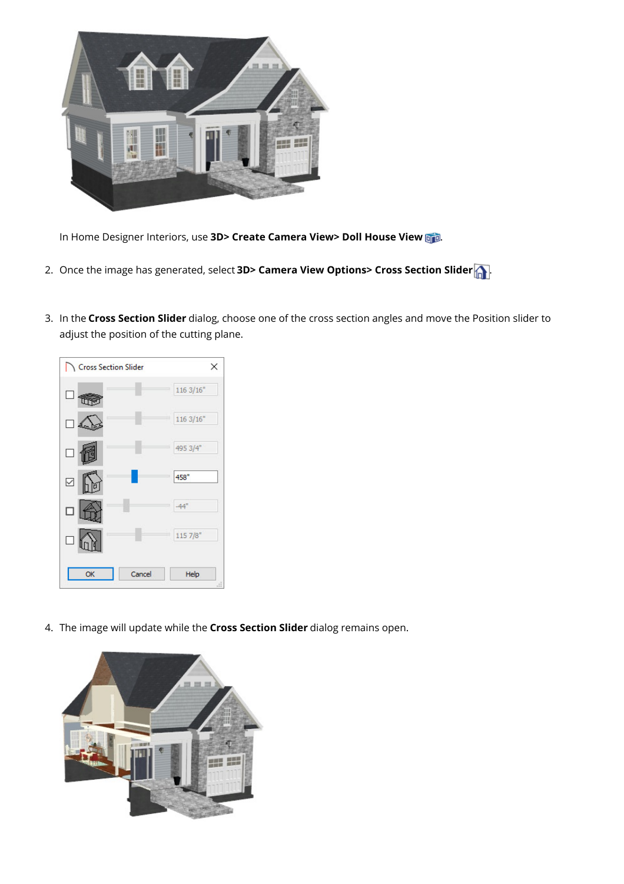

In Home Designer Interiors, use **3D> Create Camera View> Doll House View** .

- 2. Once the image has generated, select **3D> Camera View Options> Cross Section Slider** .
- 3. In the **Cross Section Slider** dialog, choose one of the cross section angles and move the Position slider to adjust the position of the cutting plane.



4. The image will update while the **Cross Section Slider** dialog remains open.